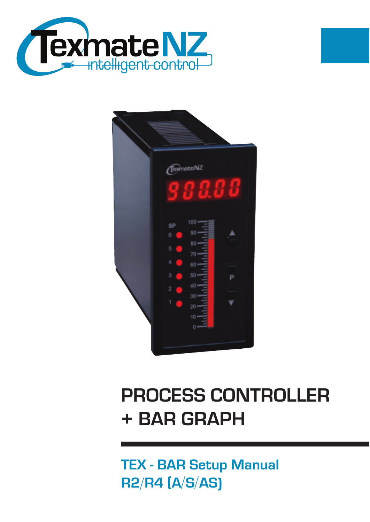



# **PROCESS CONTROLLER + BAR GRAPH**

**TEX - BAR Setup Manual R2/R4 (A/S/AS)**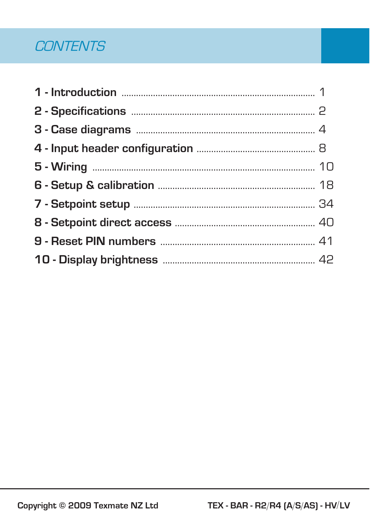### **CONTENTS**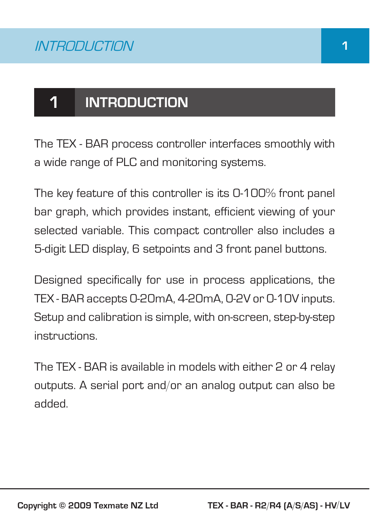## **1 INTRODUCTION**

The TEX - BAR process controller interfaces smoothly with a wide range of PLC and monitoring systems.

The key feature of this controller is its 0-100% front panel bar graph, which provides instant, efficient viewing of your selected variable. This compact controller also includes a 5-digit LED display, 6 setpoints and 3 front panel buttons.

Designed specifically for use in process applications, the TEX - BAR accepts 0-20mA, 4-20mA, 0-2V or 0-10V inputs. Setup and calibration is simple, with on-screen, step-by-step instructions.

The TEX - BAR is available in models with either 2 or 4 relay outputs. A serial port and/or an analog output can also be added.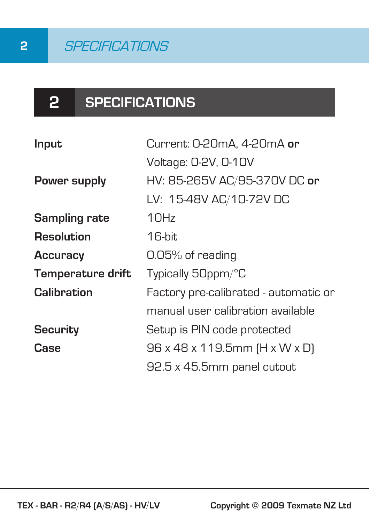# **2 SPECIFICATIONS**

| Input                | Current: 0-20mA, 4-20mA or            |  |  |
|----------------------|---------------------------------------|--|--|
|                      | Voltage: 0-2V, 0-10V                  |  |  |
| Power supply         | HV: 85-265V AC/95-370V DC or          |  |  |
|                      | LV: 15-48V AC/10-72V DC               |  |  |
| <b>Sampling rate</b> | 10Hz                                  |  |  |
| Resolution           | 16-bit                                |  |  |
| <b>Accuracy</b>      | 0.05% of reading                      |  |  |
| Temperature drift    | Typically 50ppm/°C                    |  |  |
| Calibration          | Factory pre-calibrated - automatic or |  |  |
|                      | manual user calibration available     |  |  |
| <b>Security</b>      | Setup is PIN code protected           |  |  |
| Case                 | 96 x 48 x 119.5mm (H x W x D)         |  |  |
|                      | 92.5 x 45.5mm panel cutout            |  |  |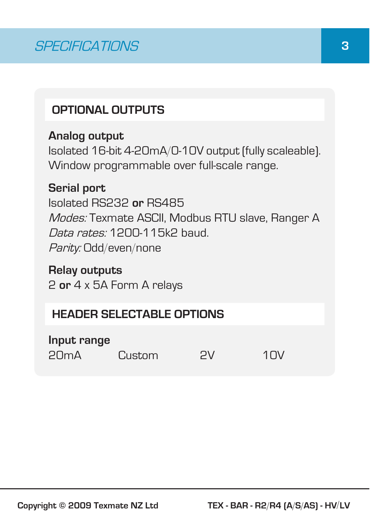#### **OPTIONAL OUTPUTS**

#### **Analog output**

Isolated 16-bit 4-20mA/0-10V output (fully scaleable). Window programmable over full-scale range.

#### **Serial port**

Isolated RS232 **or** RS485 Modes: Texmate ASCII, Modbus RTU slave, Ranger A Data rates: 1200-115k2 baud. Parity: Odd/even/none

#### **Relay outputs**

2 **or** 4 x 5A Form A relays

#### **HEADER SELECTABLE OPTIONS**

#### **Input range**

20mA Custom 2V 10V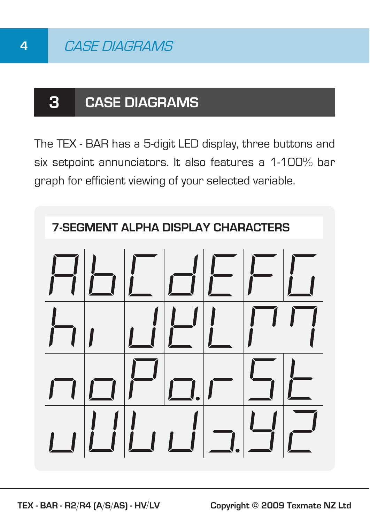### **3 CASE DIAGRAMS**

The TEX - BAR has a 5-digit LED display, three buttons and six setpoint annunciators. It also features a 1-100% bar graph for efficient viewing of your selected variable.

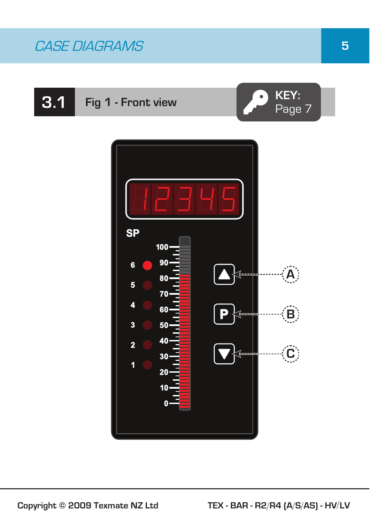# **3.1 Fig 1 - Front view CO KEY:**



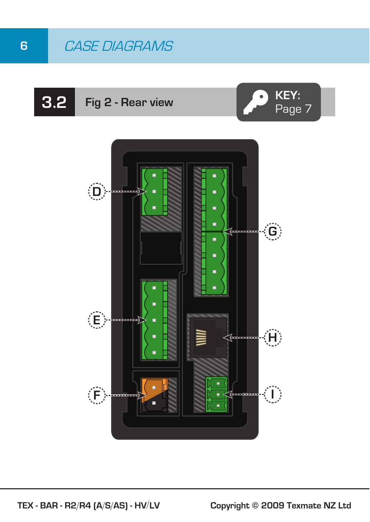### **6** CASE DIAGRAMS

# **3.2 Fig 2 - Rear view CO KEY:**



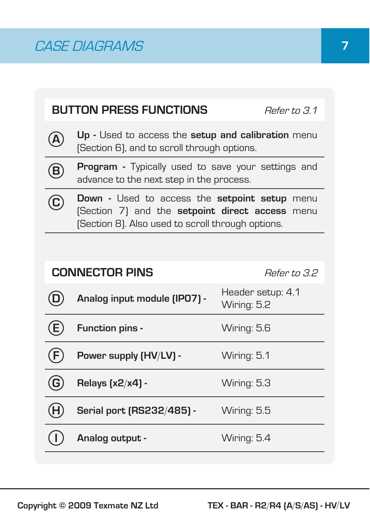|                                                                                                                                                                     | <b>BUTTON PRESS FUNCTIONS</b><br>Refer to 3.1                                                         |                                  |  |
|---------------------------------------------------------------------------------------------------------------------------------------------------------------------|-------------------------------------------------------------------------------------------------------|----------------------------------|--|
| A                                                                                                                                                                   | Up - Used to access the setup and calibration menu<br>(Section 6), and to scroll through options.     |                                  |  |
| $\widehat{\mathsf{B}}$                                                                                                                                              | <b>Program -</b> Typically used to save your settings and<br>advance to the next step in the process. |                                  |  |
| <b>Down</b> - Used to access the <b>setpoint setup</b> menu<br>(Section 7) and the setpoint direct access menu<br>[Section 8]. Also used to scroll through options. |                                                                                                       |                                  |  |
|                                                                                                                                                                     |                                                                                                       |                                  |  |
|                                                                                                                                                                     | <b>CONNECTOR PINS</b><br>Refer to 32                                                                  |                                  |  |
|                                                                                                                                                                     | Analog input module (IPO7) -                                                                          | Header setup: 4.1<br>Wiring: 5.2 |  |
|                                                                                                                                                                     | Function pins -                                                                                       | Wiring: 5.6                      |  |
| F.                                                                                                                                                                  | Power supply (HV/LV) -                                                                                | Wiring: 5.1                      |  |
| G                                                                                                                                                                   | Relays [x2/x4] -                                                                                      | Wiring: 5.3                      |  |
| H                                                                                                                                                                   | Serial port (RS232/485) -                                                                             | Wiring: 5.5                      |  |
|                                                                                                                                                                     | Analog output -                                                                                       | Wiring: 5.4                      |  |
|                                                                                                                                                                     |                                                                                                       |                                  |  |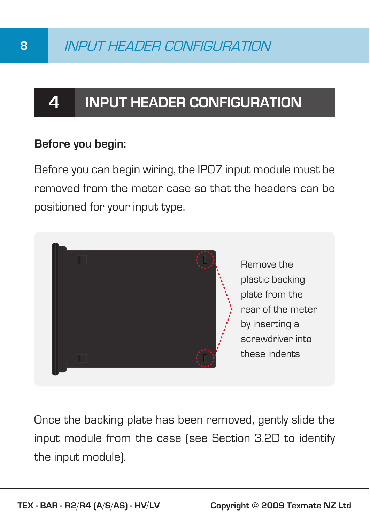## **4 INPUT HEADER CONFIGURATION**

#### **Before you begin:**

Before you can begin wiring, the IP07 input module must be removed from the meter case so that the headers can be positioned for your input type.



Once the backing plate has been removed, gently slide the input module from the case (see Section 3.2D to identify the input module).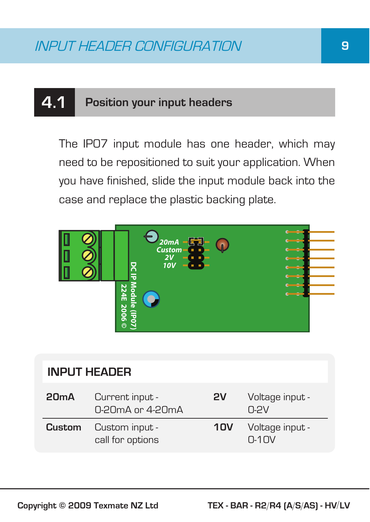### **4.1 Position your input headers**

The IP07 input module has one header, which may need to be repositioned to suit your application. When you have finished, slide the input module back into the case and replace the plastic backing plate.



| <b>INPUT HEADER</b> |                                                         |     |                                         |
|---------------------|---------------------------------------------------------|-----|-----------------------------------------|
| 20 <sub>m</sub> A   | Current input -<br>$0.20 \text{mA}$ or 4-20 $\text{mA}$ | 2V  | Voltage input -<br>$0-2V$               |
| Custom              | Custom input -<br>call for options                      | 10V | Voltage input -<br>$\Omega$ -1 $\Omega$ |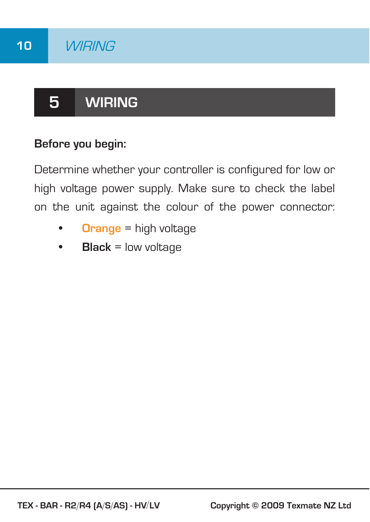# **5 WIRING**

#### **Before you begin:**

Determine whether your controller is configured for low or high voltage power supply. Make sure to check the label on the unit against the colour of the power connector:

- **Orange** = high voltage
- **Black** = low voltage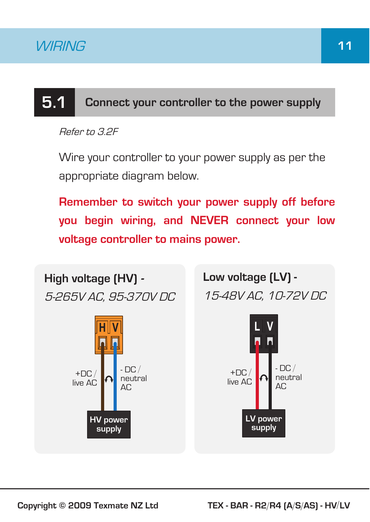# **5.1 Connect your controller to the power supply**

Refer to 3.2F

Wire your controller to your power supply as per the appropriate diagram below.

**Remember to switch your power supply off before you begin wiring, and NEVER connect your low voltage controller to mains power.**

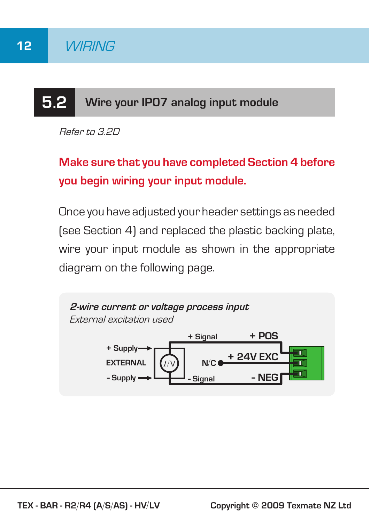# **5.2 Wire your IP07 analog input module**

Refer to 3.2D

**Make sure that you have completed Section 4 before you begin wiring your input module.**

Once you have adjusted your header settings as needed (see Section 4) and replaced the plastic backing plate, wire your input module as shown in the appropriate diagram on the following page.

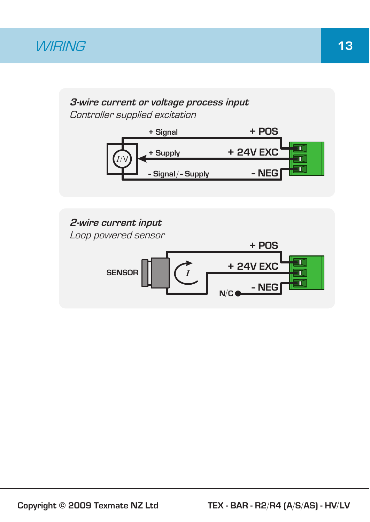### *WIRING* 13

#### **3-wire current or voltage process input** Controller supplied excitation



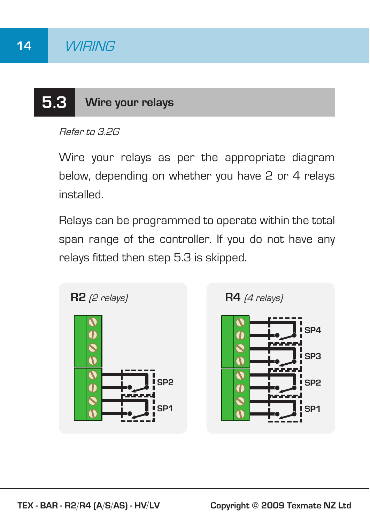## **5.3 Wire your relays**

Refer to 3.2G

Wire your relays as per the appropriate diagram below, depending on whether you have 2 or 4 relays installed.

Relays can be programmed to operate within the total span range of the controller. If you do not have any relays fitted then step 5.3 is skipped.

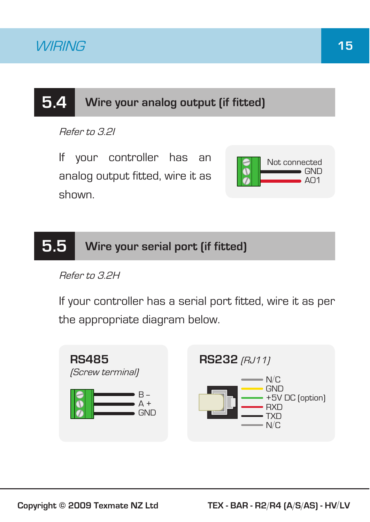### **5.4 Wire your analog output (if fitted)**

Refer to 3.2I

If your controller has an analog output fitted, wire it as shown.



### **5.5 Wire your serial port (if fitted)**

Refer to 3.2H

If your controller has a serial port fitted, wire it as per the appropriate diagram below.

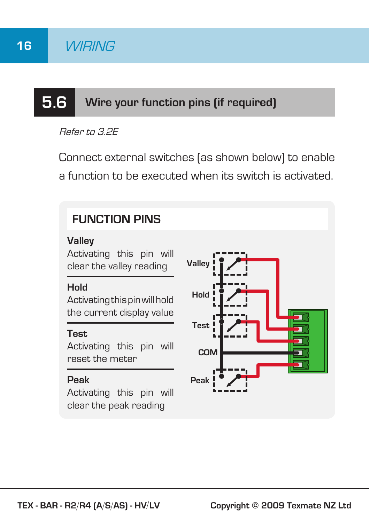# **5.6 Wire your function pins (if required)**

Refer to 3.2E

Connect external switches (as shown below) to enable a function to be executed when its switch is activated.

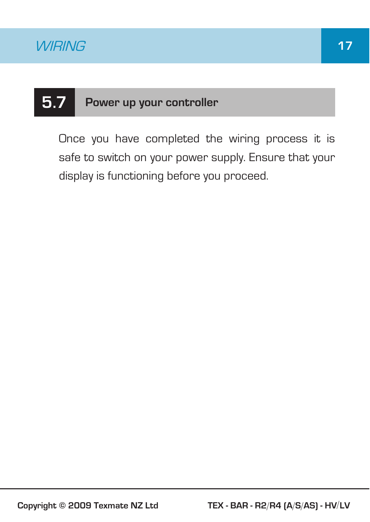## **5.7 Power up your controller**

Once you have completed the wiring process it is safe to switch on your power supply. Ensure that your display is functioning before you proceed.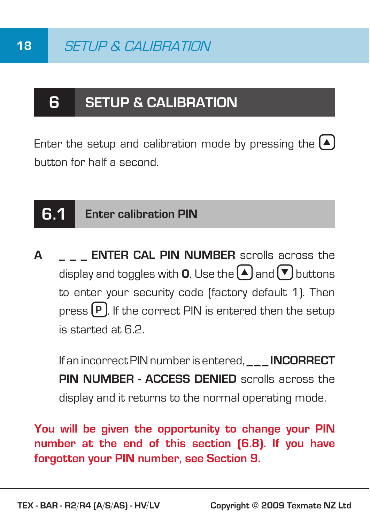### **6 SETUP & CALIBRATION**

Enter the setup and calibration mode by pressing the  $[4]$ button for half a second.

#### **6.1 Enter calibration PIN**

**A \_ \_ \_ ENTER CAL PIN NUMBER** scrolls across the display and toggles with **0**. Use the  $\blacktriangle$  and  $\blacktriangledown$  buttons to enter your security code (factory default 1). Then press **P**. If the correct PIN is entered then the setup is started at 6.2.

If an incorrect PIN number is entered. **INCORRECT PIN NUMBER - ACCESS DENIED** scrolls across the display and it returns to the normal operating mode.

**You will be given the opportunity to change your PIN number at the end of this section (6.8). If you have forgotten your PIN number, see Section 9.**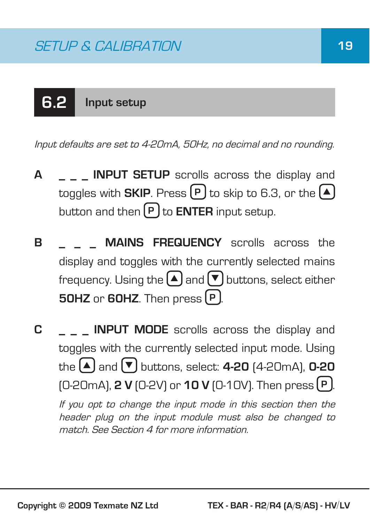# **6.2 Input setup**

Input defaults are set to 4-20mA, 50Hz, no decimal and no rounding.

- **A \_ \_ \_ INPUT SETUP** scrolls across the display and toggles with **SKIP**. Press  $\left[\mathbf{P}\right]$  to skip to 6.3, or the  $\left[\mathbf{A}\right]$ button and then **P** to **ENTER** input setup.
- **B MAINS FREQUENCY** scrolls across the display and toggles with the currently selected mains frequency. Using the  $\left(\triangle\right)$  and  $\left(\blacktriangledown\right)$  buttons, select either **50HZ** or **60HZ**. Then press **P** .
- **C \_ \_ \_ INPUT MODE** scrolls across the display and toggles with the currently selected input mode. Using  $\mathsf{the}$   $\blacktriangle$  and  $\blacktriangledown$  buttons, select: **4-20**  $(4\text{-}20\text{mA})$ , **0-20** (0-20mA), **2 V** (0-2V) or **10 V** (0-10V). Then press **P** . If you opt to change the input mode in this section then the header plug on the input module must also be changed to match. See Section 4 for more information.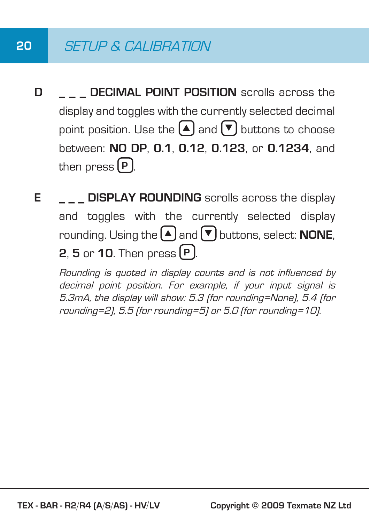### **20** SETUP & CALIBRATION

- **D DECIMAL POINT POSITION** scrolls across the display and toggles with the currently selected decimal point position. Use the  $\bigcirc$  and  $\bigtriangledown$  buttons to choose between: **NO DP**, **0.1**, **0.12**, **0.123**, or **0.1234**, and then press **P** .
- **E DISPLAY ROUNDING** scrolls across the display and toggles with the currently selected display rounding. Using the  $\bigcap$  and  $\nabla$  buttons, select: **NONE**, **2**, **5** or **10**. Then press **P** .

Rounding is quoted in display counts and is not influenced by decimal point position. For example, if your input signal is 5.3mA, the display will show: 5.3 (for rounding=None), 5.4 (for rounding=2), 5.5 (for rounding=5) or 5.0 (for rounding=10).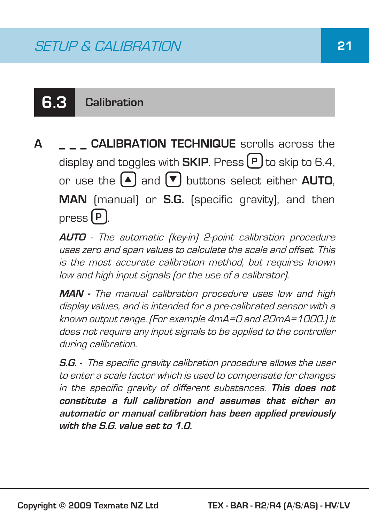### **6.3 Calibration**

**A \_ \_ \_ CALIBRATION TECHNIQUE** scrolls across the display and toggles with **SKIP**. Press **P** to skip to 6.4, or use the  $\boxed{\blacktriangle}$  and  $\boxed{\blacktriangledown}$  buttons select either **AUTO**, **MAN** (manual) or **S.G.** (specific gravity), and then press **P** .

**AUTO** - The automatic (key-in) 2-point calibration procedure uses zero and span values to calculate the scale and offset. This is the most accurate calibration method, but requires known low and high input signals (or the use of a calibrator).

**MAN -** The manual calibration procedure uses low and high display values, and is intended for a pre-calibrated sensor with a known output range. (For example 4mA=0 and 20mA=1000.) It does not require any input signals to be applied to the controller during calibration.

**S.G. -** The specific gravity calibration procedure allows the user to enter a scale factor which is used to compensate for changes in the specific gravity of different substances. **This does not constitute a full calibration and assumes that either an automatic or manual calibration has been applied previously with the S.G. value set to 1.0.**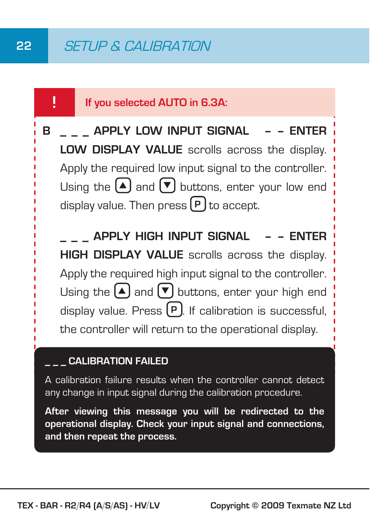#### **! If you selected AUTO in 6.3A:**

**B \_ \_ \_ APPLY LOW INPUT SIGNAL – – ENTER LOW DISPLAY VALUE** scrolls across the display. Apply the required low input signal to the controller. Using the  $\left( \blacktriangle \right)$  and  $\left( \blacktriangledown \right)$  buttons, enter your low end display value. Then press  $(P)$  to accept.

 **\_ \_ \_ APPLY HIGH INPUT SIGNAL – – ENTER HIGH DISPLAY VALUE** scrolls across the display. Apply the required high input signal to the controller. Using the  $(A)$  and  $(\nabla)$  buttons, enter your high end display value. Press <sup>[P]</sup>. If calibration is successful. the controller will return to the operational display.

#### **CALIBRATION FAILED**

A calibration failure results when the controller cannot detect any change in input signal during the calibration procedure.

**After viewing this message you will be redirected to the operational display. Check your input signal and connections, and then repeat the process.**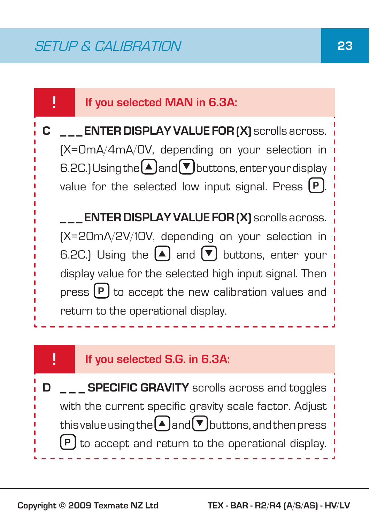#### **! If you selected MAN in 6.3A:**

**C \_ \_ \_ ENTER DISPLAY VALUE FOR (X)** scrolls across. (X=0mA/4mA/0V, depending on your selection in 6.2C.) Using the  $\bigtriangleup$  and  $\nabla$  buttons, enter your display value for the selected low input signal. Press  $[P]$ .

 **\_ \_ \_ ENTER DISPLAY VALUE FOR (X)** scrolls across. (X=20mA/2V/10V, depending on your selection in 6.2C.) Using the  $\blacktriangle$  and  $\blacktriangledown$  buttons, enter your display value for the selected high input signal. Then press  $(P)$  to accept the new calibration values and return to the operational display.

#### **! If you selected S.G. in 6.3A:**

**D** \_ \_ **SPECIFIC GRAVITY** scrolls across and toggles with the current specific gravity scale factor. Adjust this value using the  $(A)$  and  $(\mathbf{v})$  buttons, and then press **P** to accept and return to the operational display.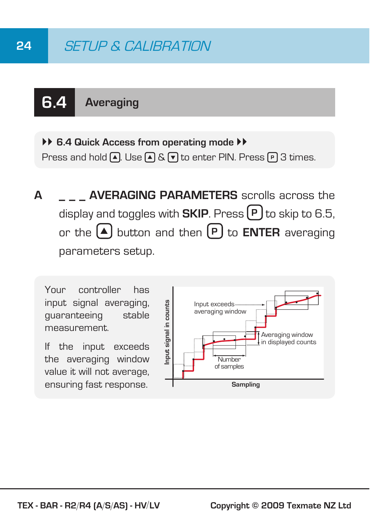## **24** SETUP & CALIBRATION

# **6.4 Averaging**

 $\rightarrow$  6.4 Quick Access from operating mode  $\rightarrow$ Press and hold  $\boxed{\blacktriangle}$ . Use  $\boxed{\blacktriangle}$  &  $\boxed{\blacktriangledown}$  to enter PIN. Press  $\boxed{\blacktriangledown}$  3 times.

**A \_ \_ \_ AVERAGING PARAMETERS** scrolls across the display and toggles with **SKIP**. Press  $(P)$  to skip to 6.5, or the  $\left($ **A** button and then  $\left[$ **P** to **ENTER** averaging parameters setup.

Your controller has input signal averaging, guaranteeing stable measurement.

If the input exceeds the averaging window value it will not average, ensuring fast response.

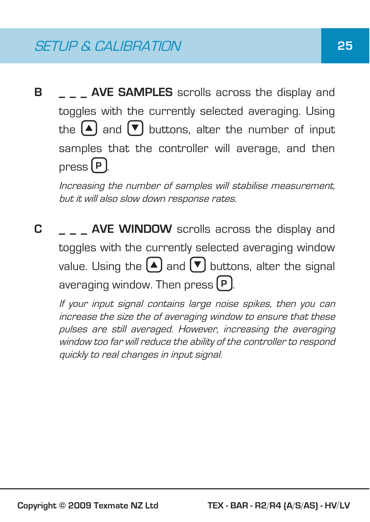**B AVE SAMPLES** scrolls across the display and toggles with the currently selected averaging. Using the  $\boxed{\blacktriangle}$  and  $\boxed{\blacktriangledown}$  buttons, alter the number of input samples that the controller will average, and then press **P** .

Increasing the number of samples will stabilise measurement, but it will also slow down response rates.

**C AVE WINDOW** scrolls across the display and toggles with the currently selected averaging window value. Using the  $(A)$  and  $(\nabla)$  buttons, alter the signal averaging window. Then press **P** .

If your input signal contains large noise spikes, then you can increase the size the of averaging window to ensure that these pulses are still averaged. However, increasing the averaging window too far will reduce the ability of the controller to respond quickly to real changes in input signal.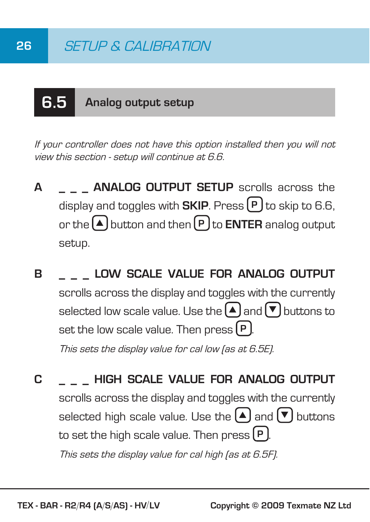# **6.5 Analog output setup**

If your controller does not have this option installed then you will not view this section - setup will continue at 6.6.

- **A ANALOG OUTPUT SETUP** scrolls across the display and toggles with **SKIP**. Press **P** to skip to 6.6, or the  $\left[ \bigtriangleup \right]$  button and then  $\left[ P \right]$  to **ENTER** analog output setup.
- **B \_ \_ \_ LOW SCALE VALUE FOR ANALOG OUTPUT** scrolls across the display and toggles with the currently selected low scale value. Use the  $\text{A}$  and  $\blacktriangledown$  buttons to set the low scale value. Then press  $(P)$ . This sets the display value for cal low (as at 6.5E).
- **C \_ \_ \_ HIGH SCALE VALUE FOR ANALOG OUTPUT** scrolls across the display and toggles with the currently selected high scale value. Use the  $\blacktriangle$  and  $\blacktriangledown$  buttons to set the high scale value. Then press  $(P)$ . This sets the display value for cal high (as at 6.5F).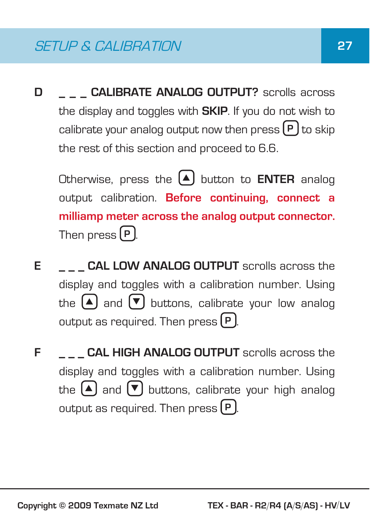**D** \_\_\_ CALIBRATE ANALOG OUTPUT? scrolls across the display and toggles with **SKIP**. If you do not wish to calibrate your analog output now then press **P** to skip the rest of this section and proceed to 6.6.

Otherwise, press the  $\boxed{\blacktriangle}$  button to **ENTER** analog output calibration. **Before continuing, connect a milliamp meter across the analog output connector.** Then press **P** .

- **E CAL LOW ANALOG OUTPUT** scrolls across the display and toggles with a calibration number. Using the  $\boxed{\blacktriangle}$  and  $\boxed{\blacktriangledown}$  buttons, calibrate your low analog output as required. Then press  $[P]$ .
- **F CAL HIGH ANALOG OUTPUT** scrolls across the display and toggles with a calibration number. Using the  $\boxed{\blacktriangle}$  and  $\boxed{\blacktriangledown}$  buttons, calibrate your high analog output as required. Then press **P** .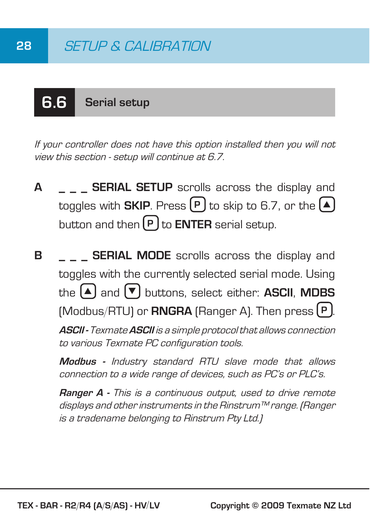# **6.6 Serial setup**

If your controller does not have this option installed then you will not view this section - setup will continue at 6.7.

**A \_ \_ \_ SERIAL SETUP** scrolls across the display and toggles with **SKIP**. Press  $\left[\mathbf{P}\right]$  to skip to 6.7, or the  $\left[\mathbf{A}\right]$ button and then **P** to **ENTER** serial setup.

**B SERIAL MODE** scrolls across the display and toggles with the currently selected serial mode. Using  $\mathbf{A}$  and  $\mathbf{\nabla}$  buttons, select either: **ASCII**, **MDBS** (Modbus/RTU) or **RNGRA** (Ranger A). Then press **P** .

**ASCII -** Texmate **ASCII** is a simple protocol that allows connection to various Texmate PC configuration tools.

**Modbus -** Industry standard RTU slave mode that allows connection to a wide range of devices, such as PC's or PLC's.

**Ranger A -** This is a continuous output, used to drive remote displays and other instruments in the Rinstrum™ range. (Ranger is a tradename belonging to Rinstrum Pty Ltd.)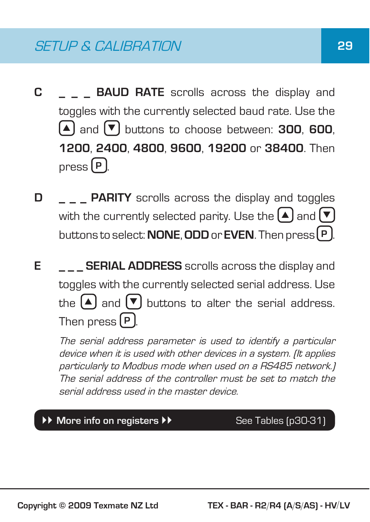- **C BAUD RATE** scrolls across the display and toggles with the currently selected baud rate. Use the  $\left(\blacksquare\right)$  and  $\left(\blacktriangledown\right)$  buttons to choose between: **300**, **600**, **1200**, **2400**, **4800**, **9600**, **19200** or **38400**. Then press **P** .
- **D PARITY** scrolls across the display and toggles with the currently selected parity. Use the  $\Box$  and  $\nabla$ buttons to select: **NONE**, **ODD** or **EVEN**. Then press **P** .
- **E E SERIAL ADDRESS** scrolls across the display and toggles with the currently selected serial address. Use the  $\left( \blacktriangle \right)$  and  $\left( \blacktriangledown \right)$  buttons to alter the serial address. Then press **P** .

 The serial address parameter is used to identify a particular device when it is used with other devices in a system. (It applies particularly to Modbus mode when used on a RS485 network.) The serial address of the controller must be set to match the serial address used in the master device.

#### **EXECUTE:** More info on registers **Fig. 34 See Tables (p30-31)**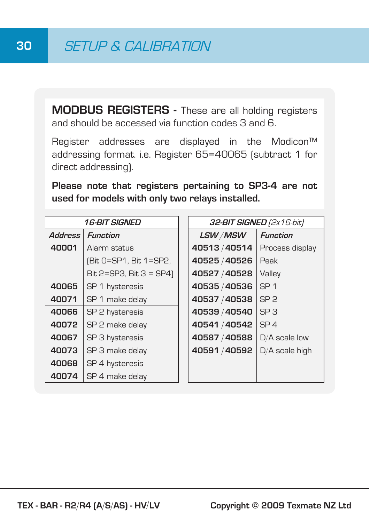**MODBUS REGISTERS -** These are all holding registers and should be accessed via function codes 3 and 6.

Register addresses are displayed in the Modicon<sup>™</sup> addressing format. i.e. Register 65=40065 (subtract 1 for direct addressing).

**Please note that registers pertaining to SP3-4 are not used for models with only two relays installed.**

| <i><b>16-BIT SIGNED</b></i> |                         |               | <b>32-BIT SIGNED</b> (2x16-bit) |
|-----------------------------|-------------------------|---------------|---------------------------------|
| <b>Address</b>              | <b>Function</b>         | LSW/MSW       | <b>Function</b>                 |
| 40001                       | Alarm status            | 40513/40514   | Process display                 |
|                             | (Bit 0=SP1, Bit 1=SP2,  | 40525 / 40526 | Peak                            |
|                             | Bit 2=SP3, Bit 3 = SP4) | 40527 / 40528 | Valley                          |
| 40065                       | SP 1 hysteresis         | 40535 / 40536 | SP <sub>1</sub>                 |
| 40071                       | SP 1 make delay         | 40537 / 40538 | SP <sub>2</sub>                 |
| 40066                       | SP 2 hysteresis         | 40539 / 40540 | SP <sub>3</sub>                 |
| 40072                       | SP 2 make delay         | 40541 / 40542 | SP <sub>4</sub>                 |
| 40067                       | SP 3 hysteresis         | 40587 / 40588 | $D/A$ scale low                 |
| 40073                       | SP 3 make delay         | 40591/40592   | D/A scale high                  |
| 40068                       | SP 4 hysteresis         |               |                                 |
| 40074                       | SP 4 make delay         |               |                                 |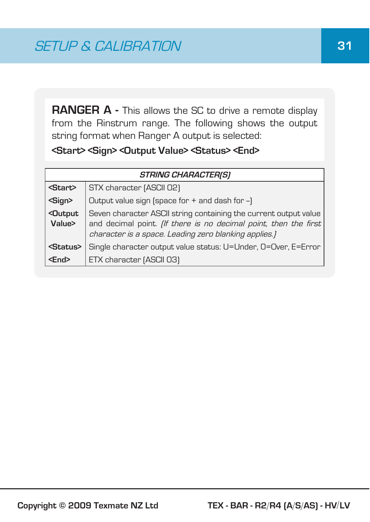**RANGER A -** This allows the SC to drive a remote display from the Rinstrum range. The following shows the output string format when Ranger A output is selected:

#### **<Start> <Sign> <Output Value> <Status> <End>**

| <b>STRING CHARACTER(S)</b>       |                                                                                                                                                                                                      |  |
|----------------------------------|------------------------------------------------------------------------------------------------------------------------------------------------------------------------------------------------------|--|
| <start></start>                  | STX character [ASCII 02]                                                                                                                                                                             |  |
| <sign></sign>                    | Output value sign (space for + and dash for -)                                                                                                                                                       |  |
| <dutput<br>Value&gt;</dutput<br> | Seven character ASCII string containing the current output value<br>and decimal point. <i>(If there is no decimal point, then the first</i><br>character is a space. Leading zero blanking applies.) |  |
| <status></status>                | Single character output value status: U=Under, O=Over, E=Error                                                                                                                                       |  |
| <end></end>                      | ETX character [ASCII 03]                                                                                                                                                                             |  |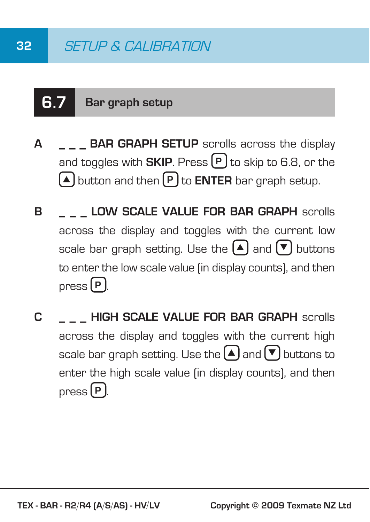## **6.7 Bar graph setup**

- **A \_ \_ \_ BAR GRAPH SETUP** scrolls across the display and toggles with **SKIP**. Press **P** to skip to 6.8, or the S button and then **P** to **ENTER** bar graph setup.
- **B LOW SCALE VALUE FOR BAR GRAPH** scrolls across the display and toggles with the current low scale bar graph setting. Use the  $\blacktriangle$  and  $\blacktriangledown$  buttons to enter the low scale value (in display counts), and then press **P** .
- **C \_ \_ \_ HIGH SCALE VALUE FOR BAR GRAPH** scrolls across the display and toggles with the current high scale bar graph setting. Use the  $\Box$  and  $\nabla$  buttons to enter the high scale value (in display counts), and then press **P** .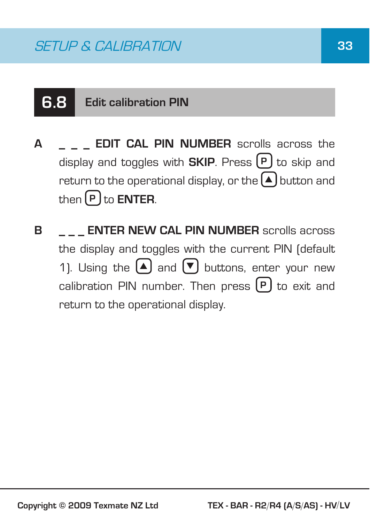## **6.8 Edit calibration PIN**

- **A \_ \_ \_ EDIT CAL PIN NUMBER** scrolls across the display and toggles with **SKIP**. Press  $[P]$  to skip and return to the operational display, or the  $\blacktriangle$  button and  $then$  $[**P**]$  to **ENTER**.
- **B ENTER NEW CAL PIN NUMBER** scrolls across the display and toggles with the current PIN (default 1). Using the  $\left( \blacktriangle \right)$  and  $\left( \blacktriangledown \right)$  buttons, enter your new calibration PIN number. Then press  $(P)$  to exit and return to the operational display.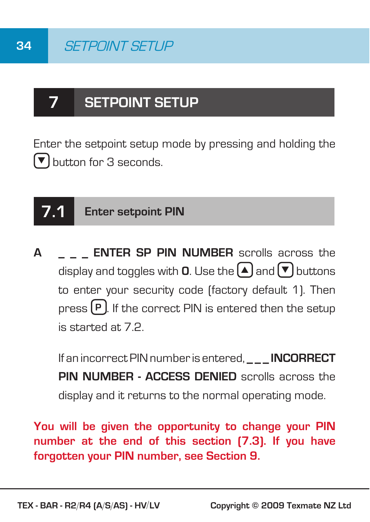## **7 SETPOINT SETUP**

Enter the setpoint setup mode by pressing and holding the  $\triangledown$  button for 3 seconds.

## **7.1 Enter setpoint PIN**

**A \_ \_ \_ ENTER SP PIN NUMBER** scrolls across the display and toggles with **Q**. Use the  $\left[ \triangle \right]$  and  $\left[ \triangledown \right]$  buttons to enter your security code (factory default 1). Then press **P** . If the correct PIN is entered then the setup is started at 7.2.

If an incorrect PIN number is entered. **INCORRECT PIN NUMBER - ACCESS DENIED** scrolls across the display and it returns to the normal operating mode.

**You will be given the opportunity to change your PIN number at the end of this section (7.3). If you have forgotten your PIN number, see Section 9.**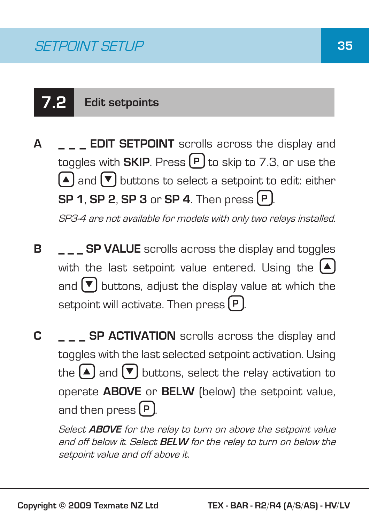# **7.2 Edit setpoints**

**A \_ \_ \_ EDIT SETPOINT** scrolls across the display and toggles with **SKIP**. Press  $(P)$  to skip to 7.3, or use the  $\boxed{\blacktriangle}$  and  $\boxed{\blacktriangledown}$  buttons to select a setpoint to edit: either **SP 1**, **SP 2**, **SP 3** or **SP 4**. Then press **P** .

SP3-4 are not available for models with only two relays installed.

- **B SP VALUE** scrolls across the display and toggles with the last setpoint value entered. Using the  $(A)$ and  $\nabla$  buttons, adjust the display value at which the setpoint will activate. Then press  $[P]$ .
- **C \_ \_ \_ SP ACTIVATION** scrolls across the display and toggles with the last selected setpoint activation. Using the  $\left( \blacktriangle \right)$  and  $\left( \blacktriangledown \right)$  buttons, select the relay activation to operate **ABOVE** or **BELW** (below) the setpoint value, and then press **P** .

Select **ABOVE** for the relay to turn on above the setpoint value and off below it. Select **BELW** for the relay to turn on below the setpoint value and off above it.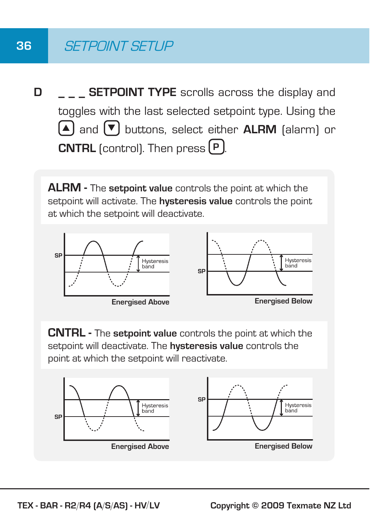### **36** SETPOINT SETUP

**D** \_ \_ \_ SETPOINT TYPE scrolls across the display and toggles with the last selected setpoint type. Using the S and T buttons, select either **ALRM** (alarm) or **CNTRL** (control). Then press  $(P)$ .

**ALRM -** The **setpoint value** controls the point at which the setpoint will activate. The **hysteresis value** controls the point at which the setpoint will deactivate.



**CNTRL -** The **setpoint value** controls the point at which the setpoint will deactivate. The **hysteresis value** controls the point at which the setpoint will reactivate.

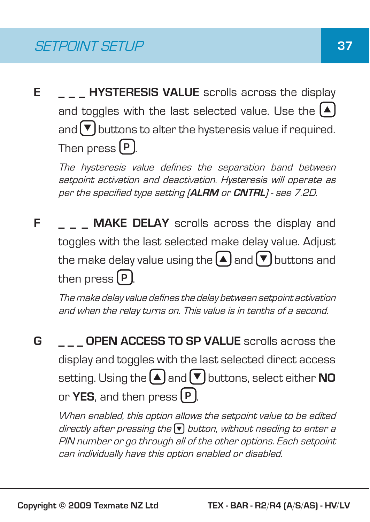**E** \_ \_ \_ HYSTERESIS VALUE scrolls across the display and toggles with the last selected value. Use the  $(A)$ and  $\triangledown$  buttons to alter the hysteresis value if required. Then press **P** .

The hysteresis value defines the separation band between setpoint activation and deactivation. Hysteresis will operate as per the specified type setting (**ALRM** or **CNTRL**) - see 7.2D.

**F MAKE DELAY** scrolls across the display and toggles with the last selected make delay value. Adjust the make delay value using the  $\Omega$  and  $\nabla$  buttons and then press  $[P]$ .

The make delay value defines the delay between setpoint activation and when the relay turns on. This value is in tenths of a second.

**G \_ \_ \_ OPEN ACCESS TO SP VALUE** scrolls across the display and toggles with the last selected direct access setting. Using the  $\blacktriangle$  and  $\blacktriangledown$  buttons, select either **NO** or **YES**, and then press **P** .

When enabled, this option allows the setpoint value to be edited directly after pressing the  $\blacktriangledown$  button, without needing to enter a PIN number or go through all of the other options. Each setpoint can individually have this option enabled or disabled.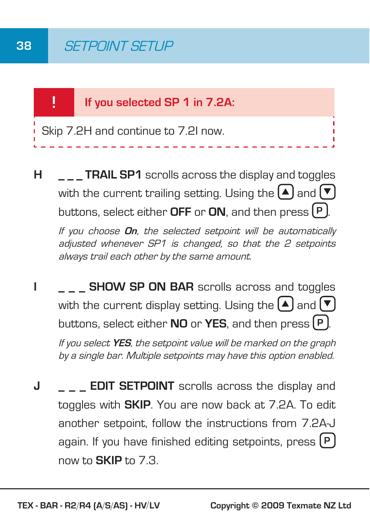

**H TRAIL SP1** scrolls across the display and toggles with the current trailing setting. Using the  $\Box$  and  $\nabla$ buttons, select either **OFF** or **ON**, and then press **P** .

If you choose **On**, the selected setpoint will be automatically adjusted whenever SP1 is changed, so that the 2 setpoints always trail each other by the same amount.

- **I SHOW SP ON BAR** scrolls across and toggles with the current display setting. Using the  $(A)$  and  $\nabla$ buttons, select either **NO** or **YES**, and then press **P** . If you select **YES**, the setpoint value will be marked on the graph by a single bar. Multiple setpoints may have this option enabled.
- **J EDIT SETPOINT** scrolls across the display and toggles with **SKIP**. You are now back at 7.2A. To edit another setpoint, follow the instructions from 7.2A-J again. If you have finished editing setpoints, press **P** now to **SKIP** to 7.3.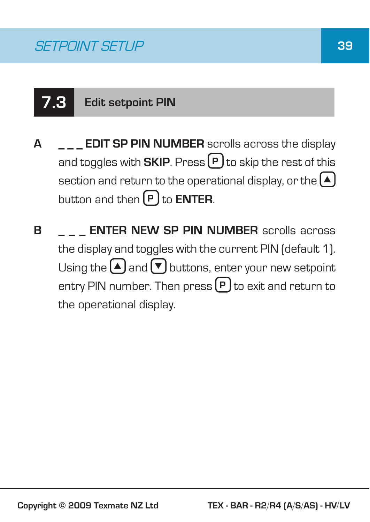# **7.3 Edit setpoint PIN**

- **A \_ \_ \_ EDIT SP PIN NUMBER** scrolls across the display and toggles with **SKIP**. Press  $(P)$  to skip the rest of this section and return to the operational display, or the  $[4]$ button and then **P** to **ENTER**.
- **B ENTER NEW SP PIN NUMBER** scrolls across the display and toggles with the current PIN (default 1). Using the  $\left(\blacksquare\right)$  and  $\left(\blacktriangledown\right)$  buttons, enter your new setpoint entry PIN number. Then press **P** to exit and return to the operational display.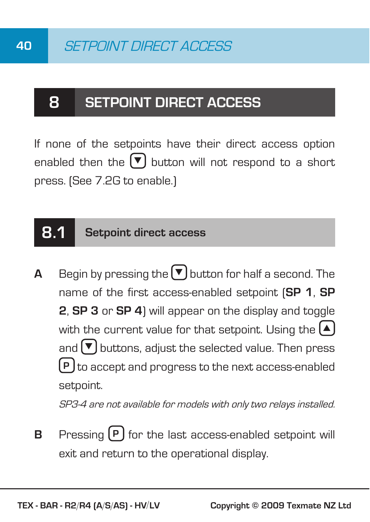### **8 SETPOINT DIRECT ACCESS**

If none of the setpoints have their direct access option enabled then the  $\blacktriangledown$  button will not respond to a short press. (See 7.2G to enable.)

### **8.1 Setpoint direct access**

**A** Begin by pressing the  $\nabla$  button for half a second. The name of the first access-enabled setpoint (**SP 1**, **SP 2**, **SP 3** or **SP 4**) will appear on the display and toggle with the current value for that setpoint. Using the  $(A)$ and  $\left(\blacktriangledown\right)$  buttons, adjust the selected value. Then press **P** ) to accept and progress to the next access-enabled setpoint.

SP3-4 are not available for models with only two relays installed.

**B** Pressing  $(P)$  for the last access-enabled setpoint will exit and return to the operational display.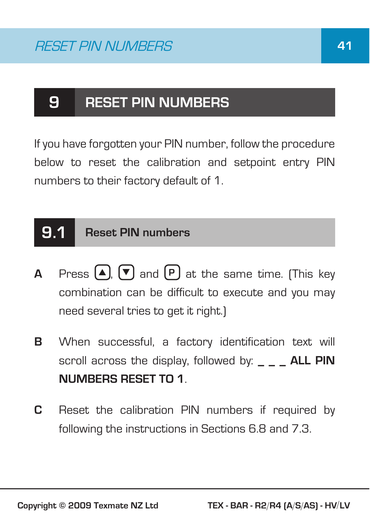### **9 RESET PIN NUMBERS**

If you have forgotten your PIN number, follow the procedure below to reset the calibration and setpoint entry PIN numbers to their factory default of 1.

### **9.1 Reset PIN numbers**

- **A** Press  $\left[\begin{matrix}A\end{matrix}\right]$ ,  $\left[\begin{matrix}\n\blacktriangledown\end{matrix}\right]$  and  $\left[\begin{matrix}P\end{matrix}\right]$  at the same time. (This key combination can be difficult to execute and you may need several tries to get it right.)
- **B** When successful, a factory identification text will scroll across the display, followed by: **ALL PIN NUMBERS RESET TO 1**.
- **C** Reset the calibration PIN numbers if required by following the instructions in Sections 6.8 and 7.3.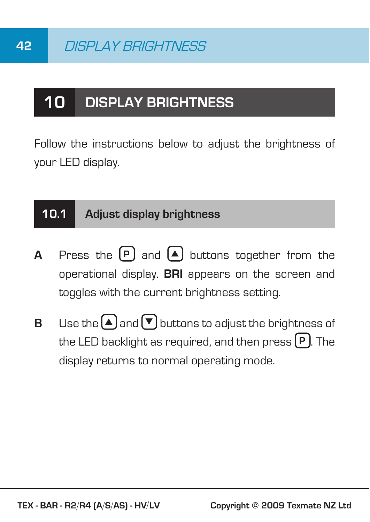### **10 DISPLAY BRIGHTNESS**

Follow the instructions below to adjust the brightness of your LED display.

#### **10.1 Adjust display brightness**

- **A** Press the  $(P)$  and  $(A)$  buttons together from the operational display. **BRI** appears on the screen and toggles with the current brightness setting.
- **B** Use the  $\bigtriangleup$  and  $\bigtriangledown$  buttons to adjust the brightness of the LED backlight as required, and then press **P** . The display returns to normal operating mode.